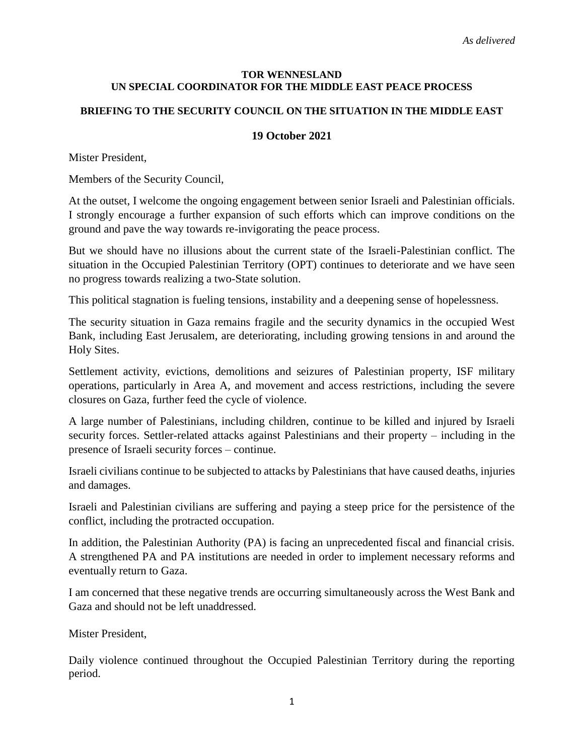## **TOR WENNESLAND UN SPECIAL COORDINATOR FOR THE MIDDLE EAST PEACE PROCESS**

## **BRIEFING TO THE SECURITY COUNCIL ON THE SITUATION IN THE MIDDLE EAST**

## **19 October 2021**

Mister President,

Members of the Security Council,

At the outset, I welcome the ongoing engagement between senior Israeli and Palestinian officials. I strongly encourage a further expansion of such efforts which can improve conditions on the ground and pave the way towards re-invigorating the peace process.

But we should have no illusions about the current state of the Israeli-Palestinian conflict. The situation in the Occupied Palestinian Territory (OPT) continues to deteriorate and we have seen no progress towards realizing a two-State solution.

This political stagnation is fueling tensions, instability and a deepening sense of hopelessness.

The security situation in Gaza remains fragile and the security dynamics in the occupied West Bank, including East Jerusalem, are deteriorating, including growing tensions in and around the Holy Sites.

Settlement activity, evictions, demolitions and seizures of Palestinian property, ISF military operations, particularly in Area A, and movement and access restrictions, including the severe closures on Gaza, further feed the cycle of violence.

A large number of Palestinians, including children, continue to be killed and injured by Israeli security forces. Settler-related attacks against Palestinians and their property – including in the presence of Israeli security forces – continue.

Israeli civilians continue to be subjected to attacks by Palestinians that have caused deaths, injuries and damages.

Israeli and Palestinian civilians are suffering and paying a steep price for the persistence of the conflict, including the protracted occupation.

In addition, the Palestinian Authority (PA) is facing an unprecedented fiscal and financial crisis. A strengthened PA and PA institutions are needed in order to implement necessary reforms and eventually return to Gaza.

I am concerned that these negative trends are occurring simultaneously across the West Bank and Gaza and should not be left unaddressed.

Mister President,

Daily violence continued throughout the Occupied Palestinian Territory during the reporting period.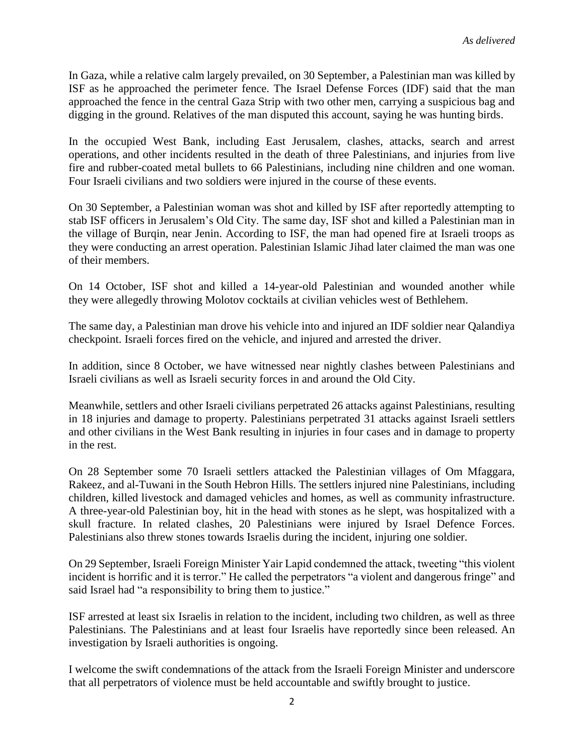In Gaza, while a relative calm largely prevailed, on 30 September, a Palestinian man was killed by ISF as he approached the perimeter fence. The Israel Defense Forces (IDF) said that the man approached the fence in the central Gaza Strip with two other men, carrying a suspicious bag and digging in the ground. Relatives of the man disputed this account, saying he was hunting birds.

In the occupied West Bank, including East Jerusalem, clashes, attacks, search and arrest operations, and other incidents resulted in the death of three Palestinians, and injuries from live fire and rubber-coated metal bullets to 66 Palestinians, including nine children and one woman. Four Israeli civilians and two soldiers were injured in the course of these events.

On 30 September, a Palestinian woman was shot and killed by ISF after reportedly attempting to stab ISF officers in Jerusalem's Old City. The same day, ISF shot and killed a Palestinian man in the village of Burqin, near Jenin. According to ISF, the man had opened fire at Israeli troops as they were conducting an arrest operation. Palestinian Islamic Jihad later claimed the man was one of their members.

On 14 October, ISF shot and killed a 14-year-old Palestinian and wounded another while they were allegedly throwing Molotov cocktails at civilian vehicles west of Bethlehem.

The same day, a Palestinian man drove his vehicle into and injured an IDF soldier near Qalandiya checkpoint. Israeli forces fired on the vehicle, and injured and arrested the driver.

In addition, since 8 October, we have witnessed near nightly clashes between Palestinians and Israeli civilians as well as Israeli security forces in and around the Old City.

Meanwhile, settlers and other Israeli civilians perpetrated 26 attacks against Palestinians, resulting in 18 injuries and damage to property. Palestinians perpetrated 31 attacks against Israeli settlers and other civilians in the West Bank resulting in injuries in four cases and in damage to property in the rest.

On 28 September some 70 Israeli settlers attacked the Palestinian villages of Om Mfaggara, Rakeez, and al-Tuwani in the South Hebron Hills. The settlers injured nine Palestinians, including children, killed livestock and damaged vehicles and homes, as well as community infrastructure. A three-year-old Palestinian boy, hit in the head with stones as he slept, was hospitalized with a skull fracture. In related clashes, 20 Palestinians were injured by Israel Defence Forces. Palestinians also threw stones towards Israelis during the incident, injuring one soldier.

On 29 September, Israeli Foreign Minister Yair Lapid condemned the attack, tweeting "this violent incident is horrific and it is terror." He called the perpetrators "a violent and dangerous fringe" and said Israel had "a responsibility to bring them to justice."

ISF arrested at least six Israelis in relation to the incident, including two children, as well as three Palestinians. The Palestinians and at least four Israelis have reportedly since been released. An investigation by Israeli authorities is ongoing.

I welcome the swift condemnations of the attack from the Israeli Foreign Minister and underscore that all perpetrators of violence must be held accountable and swiftly brought to justice.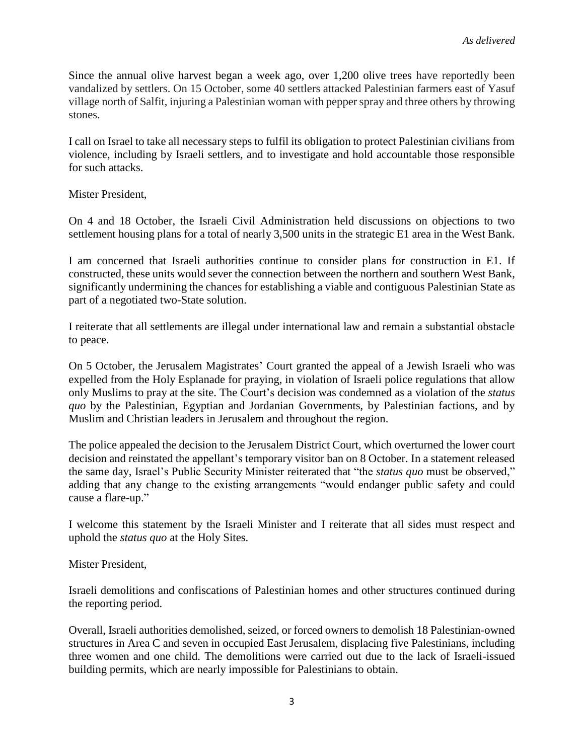Since the annual olive harvest began a week ago, over 1,200 olive trees have reportedly been vandalized by settlers. On 15 October, some 40 settlers attacked Palestinian farmers east of Yasuf village north of Salfit, injuring a Palestinian woman with pepper spray and three others by throwing stones.

I call on Israel to take all necessary steps to fulfil its obligation to protect Palestinian civilians from violence, including by Israeli settlers, and to investigate and hold accountable those responsible for such attacks.

Mister President,

On 4 and 18 October, the Israeli Civil Administration held discussions on objections to two settlement housing plans for a total of nearly 3,500 units in the strategic E1 area in the West Bank.

I am concerned that Israeli authorities continue to consider plans for construction in E1. If constructed, these units would sever the connection between the northern and southern West Bank, significantly undermining the chances for establishing a viable and contiguous Palestinian State as part of a negotiated two-State solution.

I reiterate that all settlements are illegal under international law and remain a substantial obstacle to peace.

On 5 October, the Jerusalem Magistrates' Court granted the appeal of a Jewish Israeli who was expelled from the Holy Esplanade for praying, in violation of Israeli police regulations that allow only Muslims to pray at the site. The Court's decision was condemned as a violation of the *status quo* by the Palestinian, Egyptian and Jordanian Governments, by Palestinian factions, and by Muslim and Christian leaders in Jerusalem and throughout the region.

The police appealed the decision to the Jerusalem District Court, which overturned the lower court decision and reinstated the appellant's temporary visitor ban on 8 October. In a statement released the same day, Israel's Public Security Minister reiterated that "the *status quo* must be observed," adding that any change to the existing arrangements "would endanger public safety and could cause a flare-up."

I welcome this statement by the Israeli Minister and I reiterate that all sides must respect and uphold the *status quo* at the Holy Sites.

Mister President,

Israeli demolitions and confiscations of Palestinian homes and other structures continued during the reporting period.

Overall, Israeli authorities demolished, seized, or forced owners to demolish 18 Palestinian-owned structures in Area C and seven in occupied East Jerusalem, displacing five Palestinians, including three women and one child. The demolitions were carried out due to the lack of Israeli-issued building permits, which are nearly impossible for Palestinians to obtain.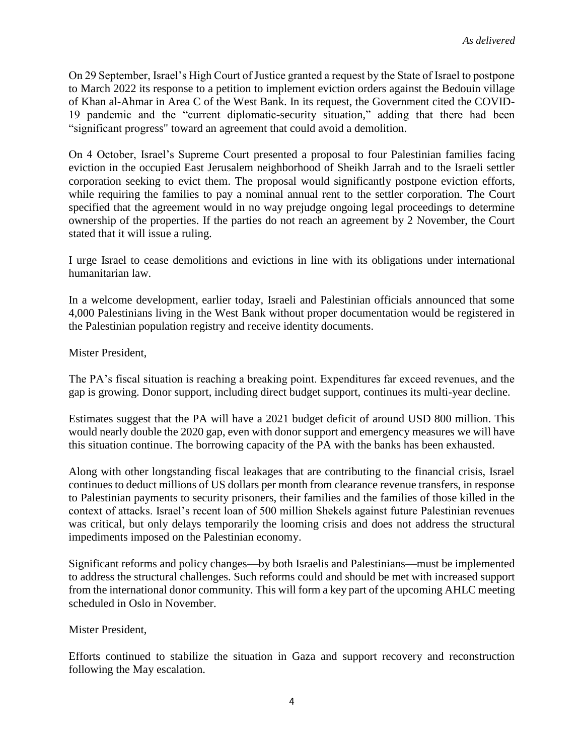On 29 September, Israel's High Court of Justice granted a request by the State of Israel to postpone to March 2022 its response to a petition to implement eviction orders against the Bedouin village of Khan al-Ahmar in Area C of the West Bank. In its request, the Government cited the COVID-19 pandemic and the "current diplomatic-security situation," adding that there had been "significant progress" toward an agreement that could avoid a demolition.

On 4 October, Israel's Supreme Court presented a proposal to four Palestinian families facing eviction in the occupied East Jerusalem neighborhood of Sheikh Jarrah and to the Israeli settler corporation seeking to evict them. The proposal would significantly postpone eviction efforts, while requiring the families to pay a nominal annual rent to the settler corporation. The Court specified that the agreement would in no way prejudge ongoing legal proceedings to determine ownership of the properties. If the parties do not reach an agreement by 2 November, the Court stated that it will issue a ruling.

I urge Israel to cease demolitions and evictions in line with its obligations under international humanitarian law.

In a welcome development, earlier today, Israeli and Palestinian officials announced that some 4,000 Palestinians living in the West Bank without proper documentation would be registered in the Palestinian population registry and receive identity documents.

Mister President,

The PA's fiscal situation is reaching a breaking point. Expenditures far exceed revenues, and the gap is growing. Donor support, including direct budget support, continues its multi-year decline.

Estimates suggest that the PA will have a 2021 budget deficit of around USD 800 million. This would nearly double the 2020 gap, even with donor support and emergency measures we will have this situation continue. The borrowing capacity of the PA with the banks has been exhausted.

Along with other longstanding fiscal leakages that are contributing to the financial crisis, Israel continues to deduct millions of US dollars per month from clearance revenue transfers, in response to Palestinian payments to security prisoners, their families and the families of those killed in the context of attacks. Israel's recent loan of 500 million Shekels against future Palestinian revenues was critical, but only delays temporarily the looming crisis and does not address the structural impediments imposed on the Palestinian economy.

Significant reforms and policy changes—by both Israelis and Palestinians—must be implemented to address the structural challenges. Such reforms could and should be met with increased support from the international donor community. This will form a key part of the upcoming AHLC meeting scheduled in Oslo in November.

Mister President,

Efforts continued to stabilize the situation in Gaza and support recovery and reconstruction following the May escalation.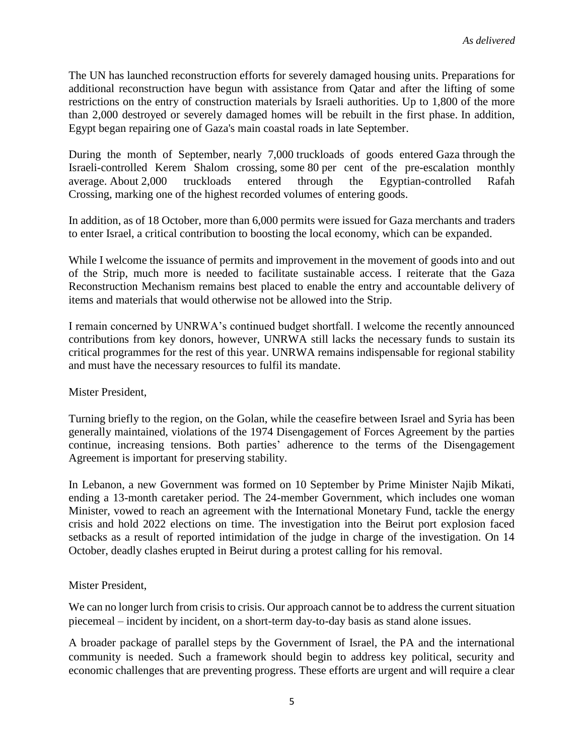The UN has launched reconstruction efforts for severely damaged housing units. Preparations for additional reconstruction have begun with assistance from Qatar and after the lifting of some restrictions on the entry of construction materials by Israeli authorities. Up to 1,800 of the more than 2,000 destroyed or severely damaged homes will be rebuilt in the first phase. In addition, Egypt began repairing one of Gaza's main coastal roads in late September.

During the month of September, nearly 7,000 truckloads of goods entered Gaza through the Israeli-controlled Kerem Shalom crossing, some 80 per cent of the pre-escalation monthly average. About 2,000 truckloads entered through the Egyptian-controlled Rafah Crossing, marking one of the highest recorded volumes of entering goods.

In addition, as of 18 October, more than 6,000 permits were issued for Gaza merchants and traders to enter Israel, a critical contribution to boosting the local economy, which can be expanded.

While I welcome the issuance of permits and improvement in the movement of goods into and out of the Strip, much more is needed to facilitate sustainable access. I reiterate that the Gaza Reconstruction Mechanism remains best placed to enable the entry and accountable delivery of items and materials that would otherwise not be allowed into the Strip.

I remain concerned by UNRWA's continued budget shortfall. I welcome the recently announced contributions from key donors, however, UNRWA still lacks the necessary funds to sustain its critical programmes for the rest of this year. UNRWA remains indispensable for regional stability and must have the necessary resources to fulfil its mandate.

Mister President,

Turning briefly to the region, on the Golan, while the ceasefire between Israel and Syria has been generally maintained, violations of the 1974 Disengagement of Forces Agreement by the parties continue, increasing tensions. Both parties' adherence to the terms of the Disengagement Agreement is important for preserving stability.

In Lebanon, a new Government was formed on 10 September by Prime Minister Najib Mikati, ending a 13-month caretaker period. The 24-member Government, which includes one woman Minister, vowed to reach an agreement with the International Monetary Fund, tackle the energy crisis and hold 2022 elections on time. The investigation into the Beirut port explosion faced setbacks as a result of reported intimidation of the judge in charge of the investigation. On 14 October, deadly clashes erupted in Beirut during a protest calling for his removal.

Mister President,

We can no longer lurch from crisis to crisis. Our approach cannot be to address the current situation piecemeal – incident by incident, on a short-term day-to-day basis as stand alone issues.

A broader package of parallel steps by the Government of Israel, the PA and the international community is needed. Such a framework should begin to address key political, security and economic challenges that are preventing progress. These efforts are urgent and will require a clear